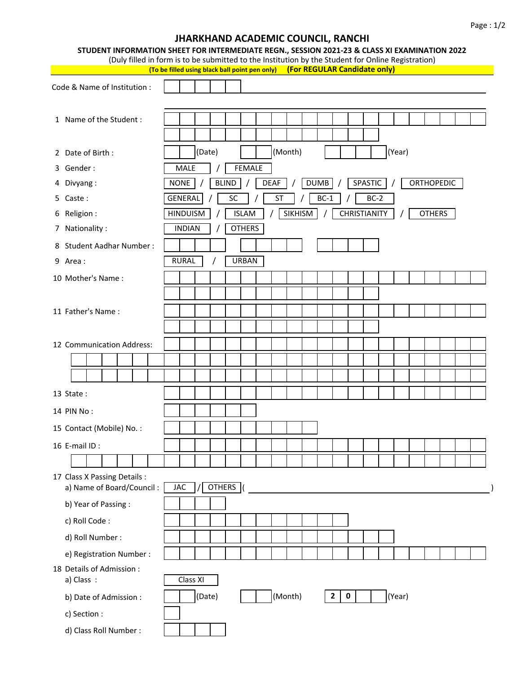## Code & Name of Institution : 1 Name of the Student : 2 Date of Birth : (Date) (Month) (Year) 3 Gender : 4 Divyang : 5 Caste : 6 Religion : 7 Nationality : 8 Student Aadhar Number : 9 Area : 10 Mother's Name : 11 Father's Name : 12 Communication Address: 13 State : 14 PIN No : 15 Contact (Mobile) No. : 16 E-mail ID : 17 Class X Passing Details : a) Name of Board/Council : JAC b) Year of Passing : c) Roll Code : d) Roll Number : e) Registration Number : 18 Details of Admission : a) Class: b) Date of Admission :  $\begin{vmatrix} \end{vmatrix}$  (Date)  $\begin{vmatrix} \end{vmatrix}$  (Month)  $\begin{vmatrix} 2 & 0 \end{vmatrix}$   $\begin{vmatrix} \end{vmatrix}$  (Year) Class XI **2 0 JHARKHAND ACADEMIC COUNCIL, RANCHI STUDENT INFORMATION SHEET FOR INTERMEDIATE REGN., SESSION 2021-23 & CLASS XI EXAMINATION 2022** (Duly filled in form is to be submitted to the Institution by the Student for Online Registration) **(To be filled using black ball point pen only) (For REGULAR Candidate only)** / DUMB / SPASTIC / ORTHOPEDIC MALE | / | FEMALE NONE / BLIND / DEAF CHRISTIANITY | / | OTHERS INDIAN / OTHERS  $BC-1$  /  $BC-2$ HINDUISM | / | ISLAM | / | SIKHISM GENERAL / SC / ST RURAL / URBAN **OTHERS**

c) Section :

d) Class Roll Number :